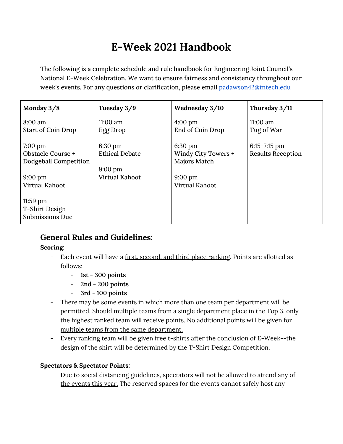# **E-Week 2021 Handbook**

The following is a complete schedule and rule handbook for Engineering Joint Council's National E-Week Celebration. We want to ensure fairness and consistency throughout our week's events. For any questions or clarification, please email [padawson42@tntech.edu](mailto:padawson42@tntech.edu)

| Monday 3/8                                                                                             | Tuesday 3/9                                                                              | Wednesday 3/10                                                                        | Thursday 3/11                                |
|--------------------------------------------------------------------------------------------------------|------------------------------------------------------------------------------------------|---------------------------------------------------------------------------------------|----------------------------------------------|
| 8:00 am<br><b>Start of Coin Drop</b>                                                                   | 11:00 am<br>Egg Drop                                                                     | $4:00 \text{ pm}$<br>End of Coin Drop                                                 | $11:00$ am<br>Tug of War                     |
| $7:00 \text{ pm}$<br>Obstacle Course +<br>Dodgeball Competition<br>$9:00 \text{ pm}$<br>Virtual Kahoot | $6:30 \text{ pm}$<br><b>Ethical Debate</b><br>$9:00 \text{ pm}$<br><b>Virtual Kahoot</b> | 6:30 pm<br>Windy City Towers +<br>Majors Match<br>$9:00 \text{ pm}$<br>Virtual Kahoot | $6:15 - 7:15$ pm<br><b>Results Reception</b> |
| $11:59$ pm<br>T-Shirt Design<br><b>Submissions Due</b>                                                 |                                                                                          |                                                                                       |                                              |

# **General Rules and Guidelines:**

### **Scoring:**

- Each event will have a first, second, and third place ranking. Points are allotted as follows:
	- **- 1st - 300 points**
	- **- 2nd - 200 points**
	- **- 3rd - 100 points**
- There may be some events in which more than one team per department will be permitted. Should multiple teams from a single department place in the Top 3, only the highest ranked team will receive points. No additional points will be given for multiple teams from the same department.
- Every ranking team will be given free t-shirts after the conclusion of E-Week--the design of the shirt will be determined by the T-Shirt Design Competition.

### **Spectators & Spectator Points:**

- Due to social distancing guidelines, spectators will not be allowed to attend any of the events this year. The reserved spaces for the events cannot safely host any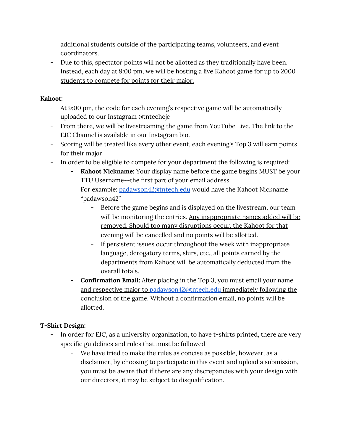additional students outside of the participating teams, volunteers, and event coordinators.

- Due to this, spectator points will not be allotted as they traditionally have been. Instead, each day at 9:00 pm, we will be hosting a live Kahoot game for up to 2000 students to compete for points for their major.

### **Kahoot:**

- At 9:00 pm, the code for each evening's respective game will be automatically uploaded to our Instagram @tntechejc
- From there, we will be livestreaming the game from YouTube Live. The link to the EJC Channel is available in our Instagram bio.
- Scoring will be treated like every other event, each evening's Top 3 will earn points for their major
- In order to be eligible to compete for your department the following is required:
	- **Kahoot Nickname:** Your display name before the game begins MUST be your TTU Username--the first part of your email address.

For example: [padawson42@tntech.edu](mailto:padawson42@tntech.edu) would have the Kahoot Nickname "padawson42"

- Before the game begins and is displayed on the livestream, our team will be monitoring the entries. Any inappropriate names added will be removed. Should too many disruptions occur, the Kahoot for that evening will be cancelled and no points will be allotted.
- If persistent issues occur throughout the week with inappropriate language, derogatory terms, slurs, etc., all points earned by the departments from Kahoot will be automatically deducted from the overall totals.
- **- Confirmation Email:** After placing in the Top 3, you must email your name and respective major to [padawson42@tntech.edu](mailto:padawson42@tntech.edu) immediately following the conclusion of the game. Without a confirmation email, no points will be allotted.

# **T-Shirt Design:**

- In order for EJC, as a university organization, to have t-shirts printed, there are very specific guidelines and rules that must be followed
	- We have tried to make the rules as concise as possible, however, as a disclaimer, by choosing to participate in this event and upload a submission, you must be aware that if there are any discrepancies with your design with our directors, it may be subject to disqualification.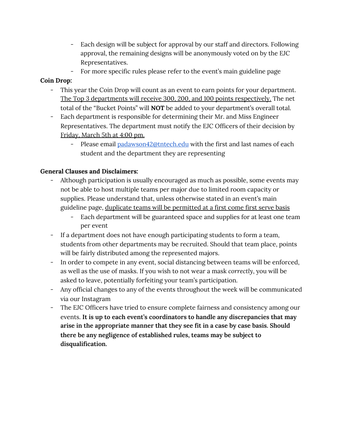- Each design will be subject for approval by our staff and directors. Following approval, the remaining designs will be anonymously voted on by the EJC Representatives.
- For more specific rules please refer to the event's main guideline page

#### **Coin Drop:**

- This year the Coin Drop will count as an event to earn points for your department. The Top 3 departments will receive 300, 200, and 100 points respectively. The net total of the "Bucket Points" will **NOT** be added to your department's overall total.
- Each department is responsible for determining their Mr. and Miss Engineer Representatives. The department must notify the EJC Officers of their decision by Friday, March 5th at 4:00 pm.
	- Please email [padawson42@tntech.edu](mailto:padawson42@tntech.edu) with the first and last names of each student and the department they are representing

#### **General Clauses and Disclaimers:**

- Although participation is usually encouraged as much as possible, some events may not be able to host multiple teams per major due to limited room capacity or supplies. Please understand that, unless otherwise stated in an event's main guideline page, duplicate teams will be permitted at a first come first serve basis
	- Each department will be guaranteed space and supplies for at least one team per event
- If a department does not have enough participating students to form a team, students from other departments may be recruited. Should that team place, points will be fairly distributed among the represented majors.
- In order to compete in any event, social distancing between teams will be enforced, as well as the use of masks. If you wish to not wear a mask *correctly*, you will be asked to leave, potentially forfeiting your team's participation.
- Any official changes to any of the events throughout the week will be communicated via our Instagram
- The EJC Officers have tried to ensure complete fairness and consistency among our events. **It is up to each event's coordinators to handle any discrepancies that may arise in the appropriate manner that they see fit in a case by case basis. Should there be any negligence of established rules, teams may be subject to disqualification.**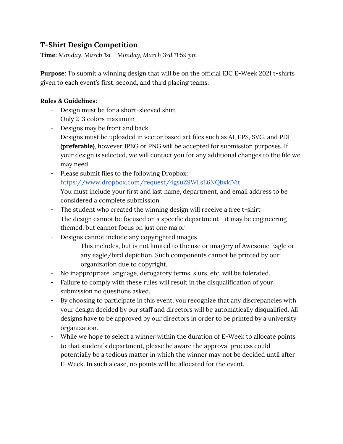# **T-Shirt Design Competition**

**Time:** *Monday, March 1st - Monday, March 3rd 11:59 pm*

**Purpose:** To submit a winning design that will be on the official EJC E-Week 2021 t-shirts given to each event's first, second, and third placing teams.

- Design must be for a short-sleeved shirt
- Only 2-3 colors maximum
- Designs may be front and back
- Designs must be uploaded in vector based art files such as AI, EPS, SVG, and PDF **(preferable)**, however JPEG or PNG will be accepted for submission purposes. If your design is selected, we will contact you for any additional changes to the file we may need.
- Please submit files to the following Dropbox: <https://www.dropbox.com/request/4gsuZ9WLsL6NQbxkIVit> You must include your first and last name, department, and email address to be considered a complete submission.
- The student who created the winning design will receive a free t-shirt
- The design cannot be focused on a specific department--it may be engineering themed, but cannot focus on just one major
- Designs cannot include any copyrighted images
	- This includes, but is not limited to the use or imagery of Awesome Eagle or any eagle/bird depiction. Such components cannot be printed by our organization due to copyright.
- No inappropriate language, derogatory terms, slurs, etc. will be tolerated.
- Failure to comply with these rules will result in the disqualification of your submission no questions asked.
- By choosing to participate in this event, you recognize that any discrepancies with your design decided by our staff and directors will be automatically disqualified. All designs have to be approved by our directors in order to be printed by a university organization.
- While we hope to select a winner within the duration of E-Week to allocate points to that student's department, please be aware the approval process could potentially be a tedious matter in which the winner may not be decided until after E-Week. In such a case, no points will be allocated for the event.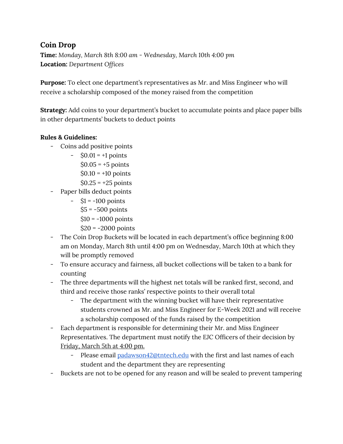# **Coin Drop**

**Time:** *Monday, March 8th 8:00 am - Wednesday, March 10th 4:00 pm* **Location:** *Department Offices*

**Purpose:** To elect one department's representatives as Mr. and Miss Engineer who will receive a scholarship composed of the money raised from the competition

**Strategy:** Add coins to your department's bucket to accumulate points and place paper bills in other departments' buckets to deduct points

- Coins add positive points
	- $-$  \$0.01 = +1 points
		- $$0.05 = +5$  points
		- $$0.10 = +10 \text{ points}$
		- $$0.25 = +25 \text{ points}$
- Paper bills deduct points
	- $-$  \$1 = -100 points  $$5 = -500$  points  $$10 = -1000$  points
		- $$20 = -2000$  points
- The Coin Drop Buckets will be located in each department's office beginning 8:00 am on Monday, March 8th until 4:00 pm on Wednesday, March 10th at which they will be promptly removed
- To ensure accuracy and fairness, all bucket collections will be taken to a bank for counting
- The three departments will the highest net totals will be ranked first, second, and third and receive those ranks' respective points to their overall total
	- The department with the winning bucket will have their representative students crowned as Mr. and Miss Engineer for E-Week 2021 and will receive a scholarship composed of the funds raised by the competition
- Each department is responsible for determining their Mr. and Miss Engineer Representatives. The department must notify the EJC Officers of their decision by Friday, March 5th at 4:00 pm.
	- Please email [padawson42@tntech.edu](mailto:padawson42@tntech.edu) with the first and last names of each student and the department they are representing
- Buckets are not to be opened for any reason and will be sealed to prevent tampering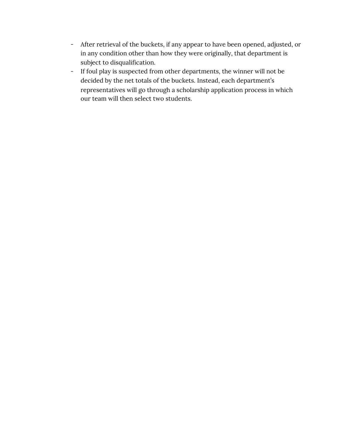- After retrieval of the buckets, if any appear to have been opened, adjusted, or in any condition other than how they were originally, that department is subject to disqualification.
- If foul play is suspected from other departments, the winner will not be decided by the net totals of the buckets. Instead, each department's representatives will go through a scholarship application process in which our team will then select two students.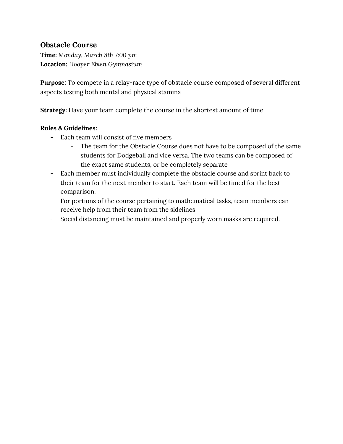### **Obstacle Course**

**Time:** *Monday, March 8th 7:00 pm* **Location:** *Hooper Eblen Gymnasium*

**Purpose:** To compete in a relay-race type of obstacle course composed of several different aspects testing both mental and physical stamina

**Strategy:** Have your team complete the course in the shortest amount of time

- Each team will consist of five members
	- The team for the Obstacle Course does not have to be composed of the same students for Dodgeball and vice versa. The two teams can be composed of the exact same students, or be completely separate
- Each member must individually complete the obstacle course and sprint back to their team for the next member to start. Each team will be timed for the best comparison.
- For portions of the course pertaining to mathematical tasks, team members can receive help from their team from the sidelines
- Social distancing must be maintained and properly worn masks are required.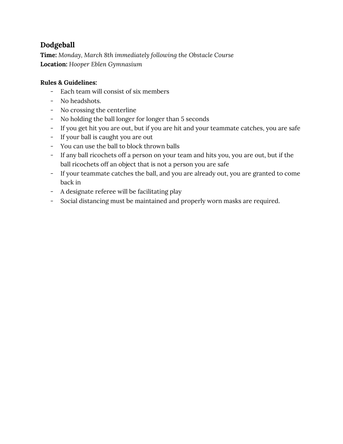# **Dodgeball**

**Time:** *Monday, March 8th immediately following the Obstacle Course* **Location:** *Hooper Eblen Gymnasium*

- Each team will consist of six members
- No headshots.
- No crossing the centerline
- No holding the ball longer for longer than 5 seconds
- If you get hit you are out, but if you are hit and your teammate catches, you are safe
- If your ball is caught you are out
- You can use the ball to block thrown balls
- If any ball ricochets off a person on your team and hits you, you are out, but if the ball ricochets off an object that is not a person you are safe
- If your teammate catches the ball, and you are already out, you are granted to come back in
- A designate referee will be facilitating play
- Social distancing must be maintained and properly worn masks are required.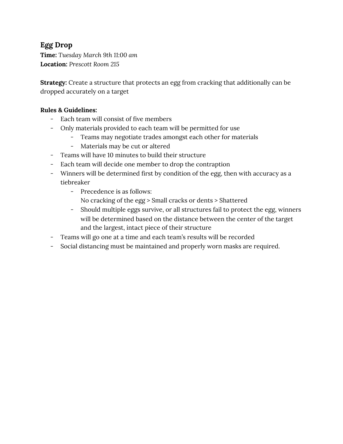# **Egg Drop**

**Time:** *Tuesday March 9th 11:00 am* **Location:** *Prescott Room 215*

**Strategy:** Create a structure that protects an egg from cracking that additionally can be dropped accurately on a target

- Each team will consist of five members
- Only materials provided to each team will be permitted for use
	- Teams may negotiate trades amongst each other for materials
	- Materials may be cut or altered
- Teams will have 10 minutes to build their structure
- Each team will decide one member to drop the contraption
- Winners will be determined first by condition of the egg, then with accuracy as a tiebreaker
	- Precedence is as follows:
		- No cracking of the egg > Small cracks or dents > Shattered
	- Should multiple eggs survive, or all structures fail to protect the egg, winners will be determined based on the distance between the center of the target and the largest, intact piece of their structure
- Teams will go one at a time and each team's results will be recorded
- Social distancing must be maintained and properly worn masks are required.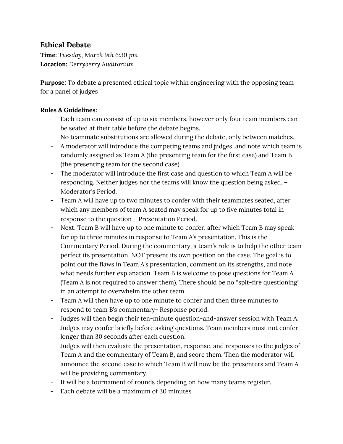### **Ethical Debate**

**Time:** *Tuesday, March 9th 6:30 pm* **Location:** *Derryberry Auditorium*

**Purpose:** To debate a presented ethical topic within engineering with the opposing team for a panel of judges

- Each team can consist of up to six members, however only four team members can be seated at their table before the debate begins.
- No teammate substitutions are allowed during the debate, only between matches.
- A moderator will introduce the competing teams and judges, and note which team is randomly assigned as Team A (the presenting team for the first case) and Team B (the presenting team for the second case)
- The moderator will introduce the first case and question to which Team A will be responding. Neither judges nor the teams will know the question being asked. – Moderator's Period.
- Team A will have up to two minutes to confer with their teammates seated, after which any members of team A seated may speak for up to five minutes total in response to the question – Presentation Period.
- Next, Team B will have up to one minute to confer, after which Team B may speak for up to three minutes in response to Team A's presentation. This is the Commentary Period. During the commentary, a team's role is to help the other team perfect its presentation, NOT present its own position on the case. The goal is to point out the flaws in Team A's presentation, comment on its strengths, and note what needs further explanation. Team B is welcome to pose questions for Team A (Team A is not required to answer them). There should be no "spit-fire questioning" in an attempt to overwhelm the other team.
- Team A will then have up to one minute to confer and then three minutes to respond to team B's commentary- Response period.
- Judges will then begin their ten-minute question-and-answer session with Team A. Judges may confer briefly before asking questions. Team members must not confer longer than 30 seconds after each question.
- Judges will then evaluate the presentation, response, and responses to the judges of Team A and the commentary of Team B, and score them. Then the moderator will announce the second case to which Team B will now be the presenters and Team A will be providing commentary.
- It will be a tournament of rounds depending on how many teams register.
- Each debate will be a maximum of 30 minutes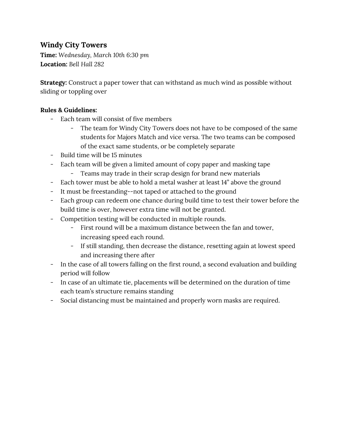### **Windy City Towers**

**Time:** *Wednesday, March 10th 6:30 pm* **Location:** *Bell Hall 282*

**Strategy:** Construct a paper tower that can withstand as much wind as possible without sliding or toppling over

- Each team will consist of five members
	- The team for Windy City Towers does not have to be composed of the same students for Majors Match and vice versa. The two teams can be composed of the exact same students, or be completely separate
- Build time will be 15 minutes
- Each team will be given a limited amount of copy paper and masking tape
	- Teams may trade in their scrap design for brand new materials
- Each tower must be able to hold a metal washer at least 14" above the ground
- It must be freestanding--not taped or attached to the ground
- Each group can redeem one chance during build time to test their tower before the build time is over, however extra time will not be granted.
- Competition testing will be conducted in multiple rounds.
	- First round will be a maximum distance between the fan and tower, increasing speed each round.
	- If still standing, then decrease the distance, resetting again at lowest speed and increasing there after
- In the case of all towers falling on the first round, a second evaluation and building period will follow
- In case of an ultimate tie, placements will be determined on the duration of time each team's structure remains standing
- Social distancing must be maintained and properly worn masks are required.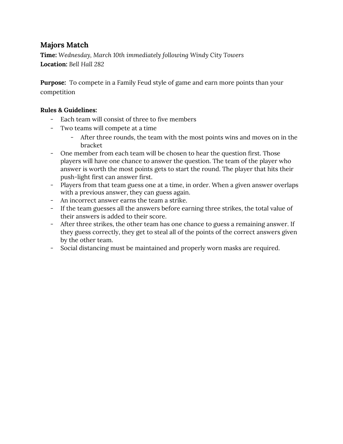### **Majors Match**

**Time:** *Wednesday, March 10th immediately following Windy City Towers* **Location:** *Bell Hall 282*

**Purpose:** To compete in a Family Feud style of game and earn more points than your competition

- Each team will consist of three to five members
- Two teams will compete at a time
	- After three rounds, the team with the most points wins and moves on in the bracket
- One member from each team will be chosen to hear the question first. Those players will have one chance to answer the question. The team of the player who answer is worth the most points gets to start the round. The player that hits their push-light first can answer first.
- Players from that team guess one at a time, in order. When a given answer overlaps with a previous answer, they can guess again.
- An incorrect answer earns the team a strike.
- If the team guesses all the answers before earning three strikes, the total value of their answers is added to their score.
- After three strikes, the other team has one chance to guess a remaining answer. If they guess correctly, they get to steal all of the points of the correct answers given by the other team.
- Social distancing must be maintained and properly worn masks are required.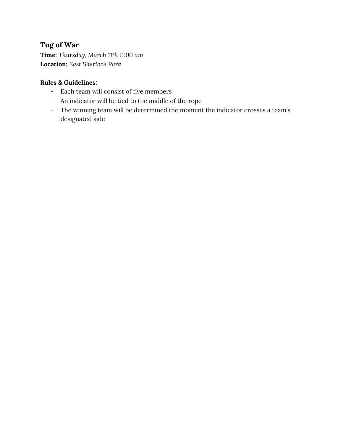# **Tug of War**

**Time:** *Thursday, March 11th 11:00 am* **Location:** *East Sherlock Park*

- Each team will consist of five members
- An indicator will be tied to the middle of the rope
- The winning team will be determined the moment the indicator crosses a team's designated side